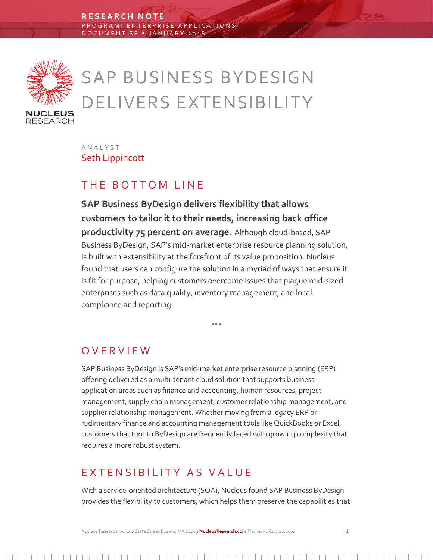

# SAP BUSINESS BYDESIGN DELIVERS EXTENSIBILITY

A N A L Y S T Seth Lippincott

# THE BOTTOM LINE

**SAP Business ByDesign delivers flexibility that allows customers to tailor it to their needs, increasing back office productivity 75 percent on average.** Although cloud-based, SAP Business ByDesign, SAP's mid-market enterprise resource planning solution, is built with extensibility at the forefront of its value proposition. Nucleus found that users can configure the solution in a myriad of ways that ensure it is fit for purpose, helping customers overcome issues that plague mid-sized enterprises such as data quality, inventory management, and local compliance and reporting.

 $- - -$ 

## O V E R V I E W

SAP Business ByDesign is SAP's mid-market enterprise resource planning (ERP) offering delivered as a multi-tenant cloud solution that supports business application areas such as finance and accounting, human resources, project management, supply chain management, customer relationship management, and supplier relationship management. Whether moving from a legacy ERP or rudimentary finance and accounting management tools like QuickBooks or Excel, customers that turn to ByDesign are frequently faced with growing complexity that requires a more robust system.

## EXTENSIBILITY AS VALUE

With a service-oriented architecture (SOA), Nucleus found SAP Business ByDesign provides the flexibility to customers, which helps them preserve the capabilities that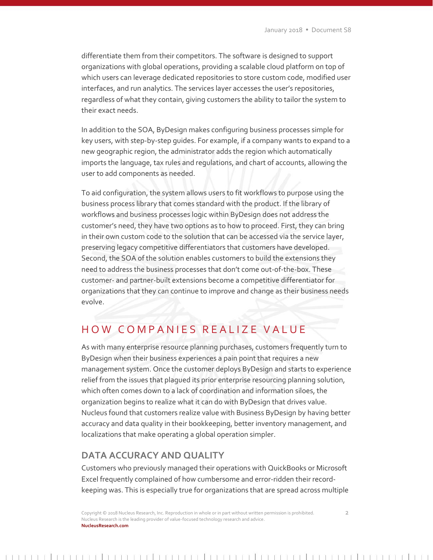differentiate them from their competitors. The software is designed to support organizations with global operations, providing a scalable cloud platform on top of which users can leverage dedicated repositories to store custom code, modified user interfaces, and run analytics. The services layer accesses the user's repositories, regardless of what they contain, giving customers the ability to tailor the system to their exact needs.

In addition to the SOA, ByDesign makes configuring business processes simple for key users, with step-by-step guides. For example, if a company wants to expand to a new geographic region, the administrator adds the region which automatically imports the language, tax rules and regulations, and chart of accounts, allowing the user to add components as needed.

To aid configuration, the system allows users to fit workflows to purpose using the business process library that comes standard with the product. If the library of workflows and business processes logic within ByDesign does not address the customer's need, they have two options as to how to proceed. First, they can bring in their own custom code to the solution that can be accessed via the service layer, preserving legacy competitive differentiators that customers have developed. Second, the SOA of the solution enables customers to build the extensions they need to address the business processes that don't come out-of-the-box. These customer- and partner-built extensions become a competitive differentiator for organizations that they can continue to improve and change as their business needs evolve.

# HOW COMPANIES REALIZE VALUE

As with many enterprise resource planning purchases, customers frequently turn to ByDesign when their business experiences a pain point that requires a new management system. Once the customer deploys ByDesign and starts to experience relief from the issues that plagued its prior enterprise resourcing planning solution, which often comes down to a lack of coordination and information siloes, the organization begins to realize what it can do with ByDesign that drives value. Nucleus found that customers realize value with Business ByDesign by having better accuracy and data quality in their bookkeeping, better inventory management, and localizations that make operating a global operation simpler.

### **DATA ACCURACY AND QUALITY**

Customers who previously managed their operations with QuickBooks or Microsoft Excel frequently complained of how cumbersome and error-ridden their recordkeeping was. This is especially true for organizations that are spread across multiple

Copyright © 2018 Nucleus Research, Inc. Reproduction in whole or in part without written permission is prohibited. 2 Nucleus Research is the leading provider of value-focused technology research and advice. **NucleusResearch.com**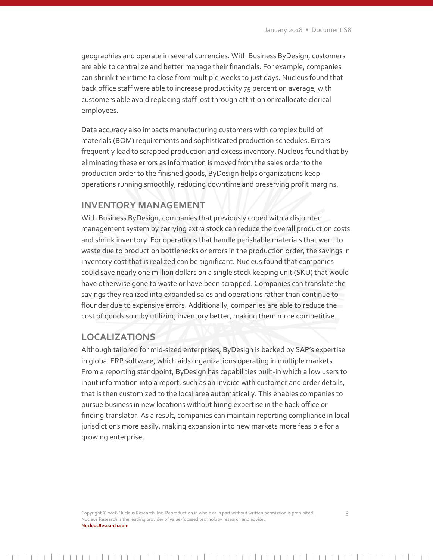geographies and operate in several currencies. With Business ByDesign, customers are able to centralize and better manage their financials. For example, companies can shrink their time to close from multiple weeks to just days. Nucleus found that back office staff were able to increase productivity 75 percent on average, with customers able avoid replacing staff lost through attrition or reallocate clerical employees.

Data accuracy also impacts manufacturing customers with complex build of materials (BOM) requirements and sophisticated production schedules. Errors frequently lead to scrapped production and excess inventory. Nucleus found that by eliminating these errors as information is moved from the sales order to the production order to the finished goods, ByDesign helps organizations keep operations running smoothly, reducing downtime and preserving profit margins.

#### **INVENTORY MANAGEMENT**

With Business ByDesign, companies that previously coped with a disjointed management system by carrying extra stock can reduce the overall production costs and shrink inventory. For operations that handle perishable materials that went to waste due to production bottlenecks or errors in the production order, the savings in inventory cost that is realized can be significant. Nucleus found that companies could save nearly one million dollars on a single stock keeping unit (SKU) that would have otherwise gone to waste or have been scrapped. Companies can translate the savings they realized into expanded sales and operations rather than continue to flounder due to expensive errors. Additionally, companies are able to reduce the cost of goods sold by utilizing inventory better, making them more competitive.

#### **LOCALIZATIONS**

Although tailored for mid-sized enterprises, ByDesign is backed by SAP's expertise in global ERP software, which aids organizations operating in multiple markets. From a reporting standpoint, ByDesign has capabilities built-in which allow users to input information into a report, such as an invoice with customer and order details, that is then customized to the local area automatically. This enables companies to pursue business in new locations without hiring expertise in the back office or finding translator. As a result, companies can maintain reporting compliance in local jurisdictions more easily, making expansion into new markets more feasible for a growing enterprise.

Copyright © 2018 Nucleus Research, Inc. Reproduction in whole or in part without written permission is prohibited. 3 Nucleus Research is the leading provider of value-focused technology research and advice. **NucleusResearch.com**